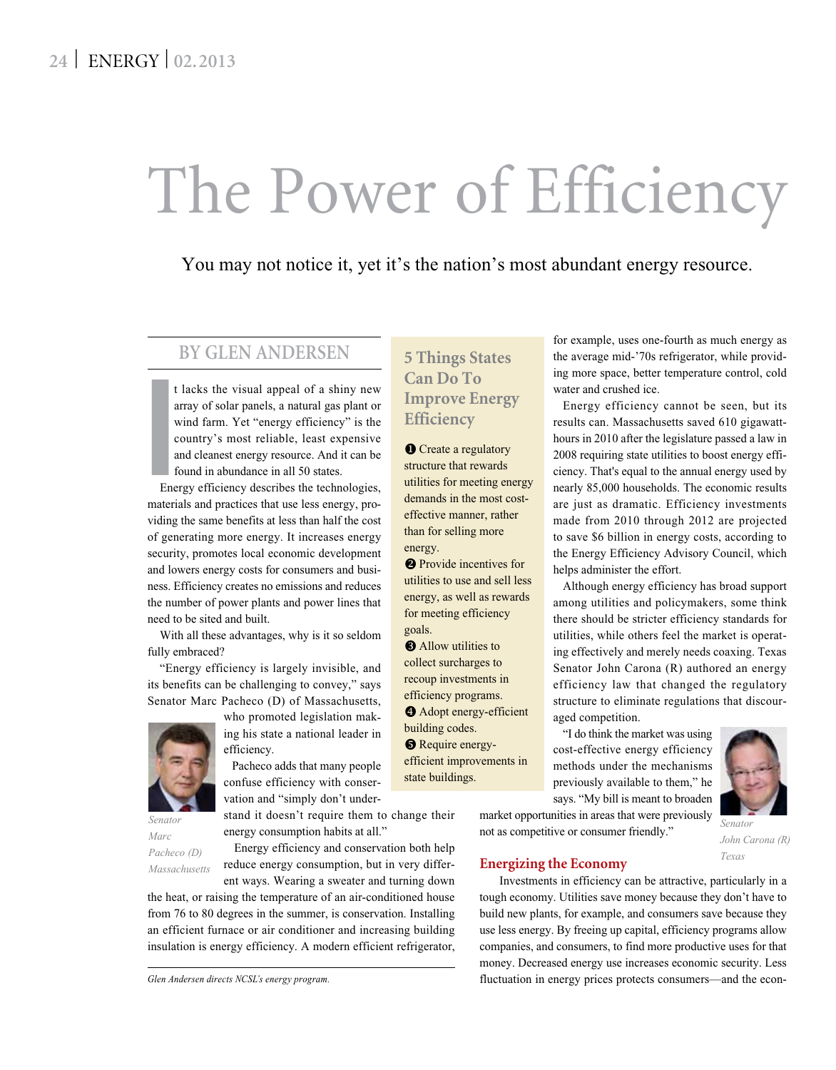# The Power of Efficiency

You may not notice it, yet it's the nation's most abundant energy resource.

#### **BY GLEN ANDERSEN**

t lacks the visual appeal of a shiny new array of solar panels, a natural gas plant or wind farm. Yet "energy efficiency" is the country's most reliable, least expensive and cleanest energy resource. And it can be found in abundance in all 50 states.

I<br>
En<br>
En Energy efficiency describes the technologies, materials and practices that use less energy, providing the same benefits at less than half the cost of generating more energy. It increases energy security, promotes local economic development and lowers energy costs for consumers and business. Efficiency creates no emissions and reduces the number of power plants and power lines that need to be sited and built.

With all these advantages, why is it so seldom fully embraced?

"Energy efficiency is largely invisible, and its benefits can be challenging to convey," says Senator Marc Pacheco (D) of Massachusetts,



*Senator Marc Pacheco (D) Massachusetts*

who promoted legislation making his state a national leader in efficiency.

 Pacheco adds that many people confuse efficiency with conservation and "simply don't under-

stand it doesn't require them to change their energy consumption habits at all."

 Energy efficiency and conservation both help reduce energy consumption, but in very differ-

ent ways. Wearing a sweater and turning down the heat, or raising the temperature of an air-conditioned house from 76 to 80 degrees in the summer, is conservation. Installing an efficient furnace or air conditioner and increasing building insulation is energy efficiency. A modern efficient refrigerator,

### **5 Things States Can Do To Improve Energy Efficiency**

**O** Create a regulatory structure that rewards utilities for meeting energy demands in the most costeffective manner, rather than for selling more energy.

**P** Provide incentives for utilities to use and sell less energy, as well as rewards for meeting efficiency goals.

**O** Allow utilities to collect surcharges to recoup investments in efficiency programs.

**4** Adopt energy-efficient building codes.  $\Theta$  Require energyefficient improvements in state buildings.

for example, uses one-fourth as much energy as the average mid-'70s refrigerator, while providing more space, better temperature control, cold water and crushed ice.

Energy efficiency cannot be seen, but its results can. Massachusetts saved 610 gigawatthours in 2010 after the legislature passed a law in 2008 requiring state utilities to boost energy efficiency. That's equal to the annual energy used by nearly 85,000 households. The economic results are just as dramatic. Efficiency investments made from 2010 through 2012 are projected to save \$6 billion in energy costs, according to the Energy Efficiency Advisory Council, which helps administer the effort.

Although energy efficiency has broad support among utilities and policymakers, some think there should be stricter efficiency standards for utilities, while others feel the market is operating effectively and merely needs coaxing. Texas Senator John Carona (R) authored an energy efficiency law that changed the regulatory structure to eliminate regulations that discouraged competition.

"I do think the market was using cost-effective energy efficiency methods under the mechanisms previously available to them," he says. "My bill is meant to broaden

market opportunities in areas that were previously not as competitive or consumer friendly."



 Investments in efficiency can be attractive, particularly in a tough economy. Utilities save money because they don't have to build new plants, for example, and consumers save because they use less energy. By freeing up capital, efficiency programs allow companies, and consumers, to find more productive uses for that money. Decreased energy use increases economic security. Less fluctuation in energy prices protects consumers—and the econ-



*John Carona (R) Texas*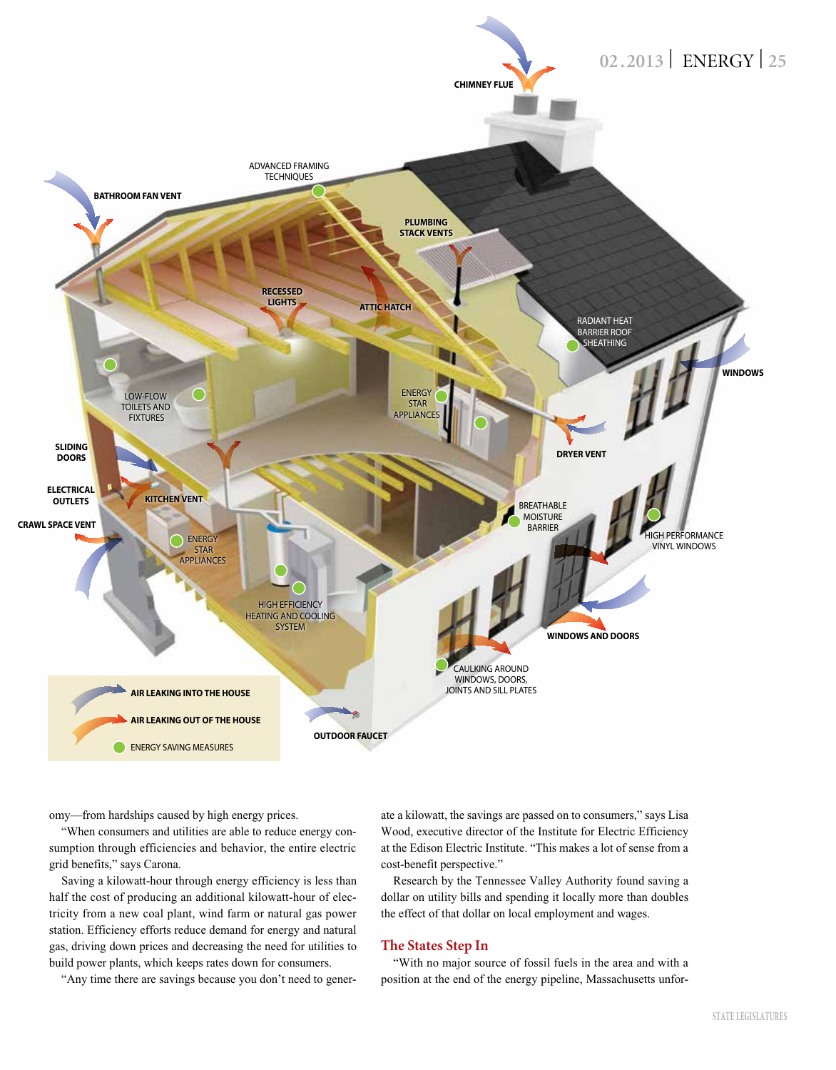

omy—from hardships caused by high energy prices.

"When consumers and utilities are able to reduce energy consumption through efficiencies and behavior, the entire electric grid benefits," says Carona.

Saving a kilowatt-hour through energy efficiency is less than half the cost of producing an additional kilowatt-hour of electricity from a new coal plant, wind farm or natural gas power station. Efficiency efforts reduce demand for energy and natural gas, driving down prices and decreasing the need for utilities to build power plants, which keeps rates down for consumers.

"Any time there are savings because you don't need to gener-

ate a kilowatt, the savings are passed on to consumers," says Lisa Wood, executive director of the Institute for Electric Efficiency at the Edison Electric Institute. "This makes a lot of sense from a cost-benefit perspective."

Research by the Tennessee Valley Authority found saving a dollar on utility bills and spending it locally more than doubles the effect of that dollar on local employment and wages.

#### **The States Step In**

"With no major source of fossil fuels in the area and with a position at the end of the energy pipeline, Massachusetts unfor-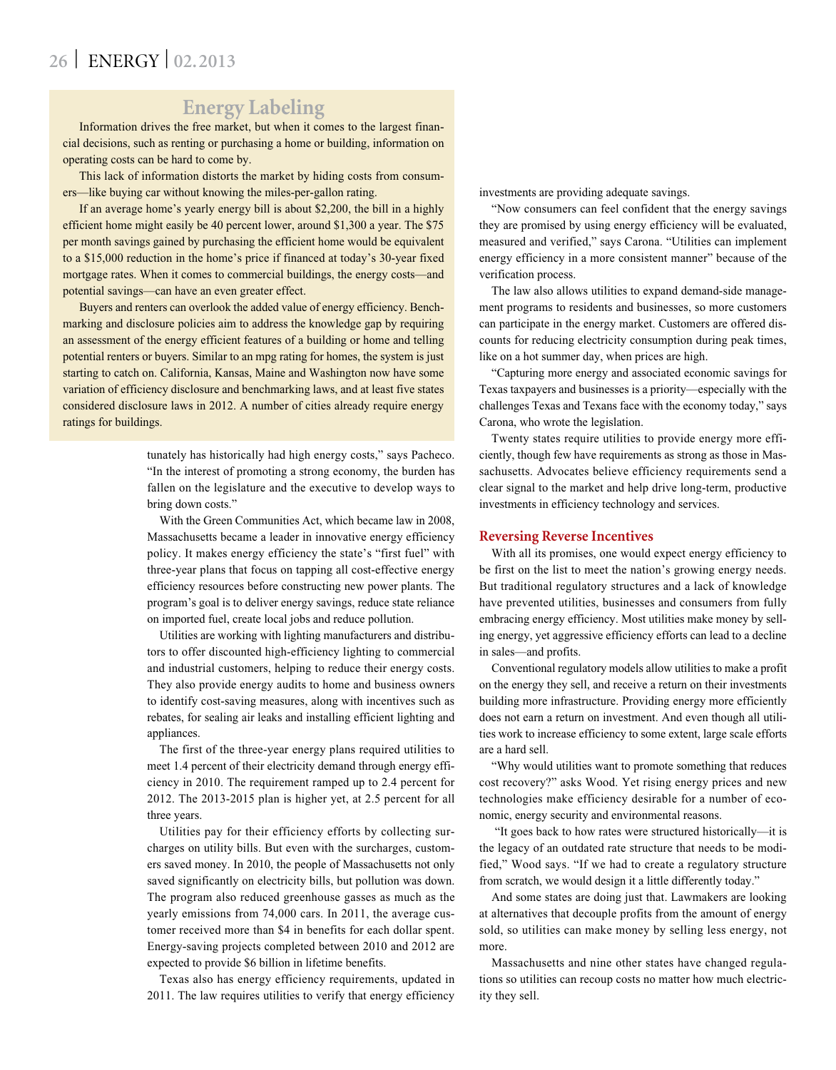# **26** | ENERGY | **02.2013**

## **Energy Labeling**

Information drives the free market, but when it comes to the largest financial decisions, such as renting or purchasing a home or building, information on operating costs can be hard to come by.

This lack of information distorts the market by hiding costs from consumers—like buying car without knowing the miles-per-gallon rating.

If an average home's yearly energy bill is about \$2,200, the bill in a highly efficient home might easily be 40 percent lower, around \$1,300 a year. The \$75 per month savings gained by purchasing the efficient home would be equivalent to a \$15,000 reduction in the home's price if financed at today's 30-year fixed mortgage rates. When it comes to commercial buildings, the energy costs—and potential savings—can have an even greater effect.

Buyers and renters can overlook the added value of energy efficiency. Benchmarking and disclosure policies aim to address the knowledge gap by requiring an assessment of the energy efficient features of a building or home and telling potential renters or buyers. Similar to an mpg rating for homes, the system is just starting to catch on. California, Kansas, Maine and Washington now have some variation of efficiency disclosure and benchmarking laws, and at least five states considered disclosure laws in 2012. A number of cities already require energy ratings for buildings.

> tunately has historically had high energy costs," says Pacheco. "In the interest of promoting a strong economy, the burden has fallen on the legislature and the executive to develop ways to bring down costs."

> With the Green Communities Act, which became law in 2008, Massachusetts became a leader in innovative energy efficiency policy. It makes energy efficiency the state's "first fuel" with three-year plans that focus on tapping all cost-effective energy efficiency resources before constructing new power plants. The program's goal is to deliver energy savings, reduce state reliance on imported fuel, create local jobs and reduce pollution.

> Utilities are working with lighting manufacturers and distributors to offer discounted high-efficiency lighting to commercial and industrial customers, helping to reduce their energy costs. They also provide energy audits to home and business owners to identify cost-saving measures, along with incentives such as rebates, for sealing air leaks and installing efficient lighting and appliances.

> The first of the three-year energy plans required utilities to meet 1.4 percent of their electricity demand through energy efficiency in 2010. The requirement ramped up to 2.4 percent for 2012. The 2013-2015 plan is higher yet, at 2.5 percent for all three years.

> Utilities pay for their efficiency efforts by collecting surcharges on utility bills. But even with the surcharges, customers saved money. In 2010, the people of Massachusetts not only saved significantly on electricity bills, but pollution was down. The program also reduced greenhouse gasses as much as the yearly emissions from 74,000 cars. In 2011, the average customer received more than \$4 in benefits for each dollar spent. Energy-saving projects completed between 2010 and 2012 are expected to provide \$6 billion in lifetime benefits.

> Texas also has energy efficiency requirements, updated in 2011. The law requires utilities to verify that energy efficiency

investments are providing adequate savings.

"Now consumers can feel confident that the energy savings they are promised by using energy efficiency will be evaluated, measured and verified," says Carona. "Utilities can implement energy efficiency in a more consistent manner" because of the verification process.

The law also allows utilities to expand demand-side management programs to residents and businesses, so more customers can participate in the energy market. Customers are offered discounts for reducing electricity consumption during peak times, like on a hot summer day, when prices are high.

"Capturing more energy and associated economic savings for Texas taxpayers and businesses is a priority—especially with the challenges Texas and Texans face with the economy today," says Carona, who wrote the legislation.

Twenty states require utilities to provide energy more efficiently, though few have requirements as strong as those in Massachusetts. Advocates believe efficiency requirements send a clear signal to the market and help drive long-term, productive investments in efficiency technology and services.

#### **Reversing Reverse Incentives**

With all its promises, one would expect energy efficiency to be first on the list to meet the nation's growing energy needs. But traditional regulatory structures and a lack of knowledge have prevented utilities, businesses and consumers from fully embracing energy efficiency. Most utilities make money by selling energy, yet aggressive efficiency efforts can lead to a decline in sales—and profits.

Conventional regulatory models allow utilities to make a profit on the energy they sell, and receive a return on their investments building more infrastructure. Providing energy more efficiently does not earn a return on investment. And even though all utilities work to increase efficiency to some extent, large scale efforts are a hard sell.

"Why would utilities want to promote something that reduces cost recovery?" asks Wood. Yet rising energy prices and new technologies make efficiency desirable for a number of economic, energy security and environmental reasons.

 "It goes back to how rates were structured historically—it is the legacy of an outdated rate structure that needs to be modified," Wood says. "If we had to create a regulatory structure from scratch, we would design it a little differently today."

And some states are doing just that. Lawmakers are looking at alternatives that decouple profits from the amount of energy sold, so utilities can make money by selling less energy, not more.

Massachusetts and nine other states have changed regulations so utilities can recoup costs no matter how much electricity they sell.